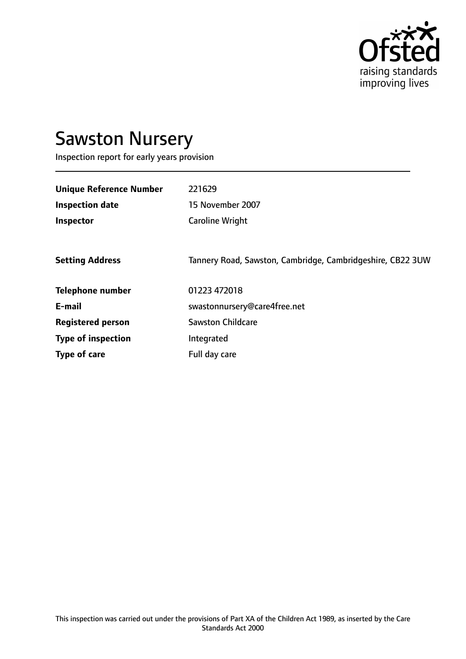

# Sawston Nursery

Inspection report for early years provision

| <b>Unique Reference Number</b> | 221629                                                     |
|--------------------------------|------------------------------------------------------------|
| <b>Inspection date</b>         | 15 November 2007                                           |
| Inspector                      | <b>Caroline Wright</b>                                     |
|                                |                                                            |
| <b>Setting Address</b>         | Tannery Road, Sawston, Cambridge, Cambridgeshire, CB22 3UW |
| <b>Telephone number</b>        | 01223 472018                                               |
| E-mail                         | swastonnursery@care4free.net                               |
| <b>Registered person</b>       | <b>Sawston Childcare</b>                                   |
| <b>Type of inspection</b>      | Integrated                                                 |
| Type of care                   | Full day care                                              |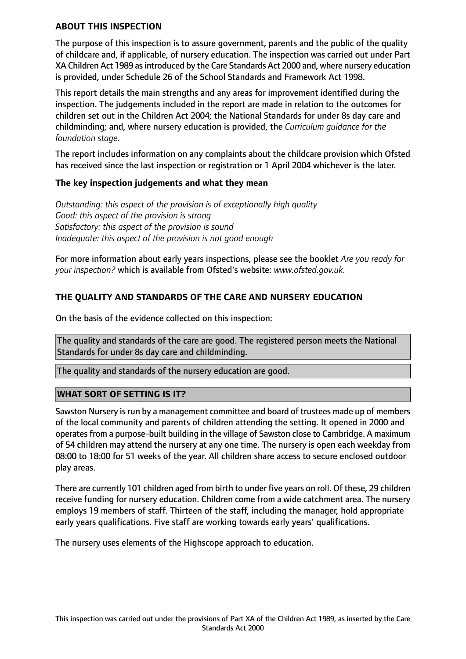#### **ABOUT THIS INSPECTION**

The purpose of this inspection is to assure government, parents and the public of the quality of childcare and, if applicable, of nursery education. The inspection was carried out under Part XA Children Act 1989 asintroduced by the Care Standards Act 2000 and, where nursery education is provided, under Schedule 26 of the School Standards and Framework Act 1998.

This report details the main strengths and any areas for improvement identified during the inspection. The judgements included in the report are made in relation to the outcomes for children set out in the Children Act 2004; the National Standards for under 8s day care and childminding; and, where nursery education is provided, the *Curriculum guidance for the foundation stage.*

The report includes information on any complaints about the childcare provision which Ofsted has received since the last inspection or registration or 1 April 2004 whichever is the later.

#### **The key inspection judgements and what they mean**

*Outstanding: this aspect of the provision is of exceptionally high quality Good: this aspect of the provision is strong Satisfactory: this aspect of the provision is sound Inadequate: this aspect of the provision is not good enough*

For more information about early years inspections, please see the booklet *Are you ready for your inspection?* which is available from Ofsted's website: *www.ofsted.gov.uk.*

## **THE QUALITY AND STANDARDS OF THE CARE AND NURSERY EDUCATION**

On the basis of the evidence collected on this inspection:

The quality and standards of the care are good. The registered person meets the National Standards for under 8s day care and childminding.

The quality and standards of the nursery education are good.

## **WHAT SORT OF SETTING IS IT?**

Sawston Nursery is run by a management committee and board of trustees made up of members of the local community and parents of children attending the setting. It opened in 2000 and operates from a purpose-built building in the village of Sawston close to Cambridge. A maximum of 54 children may attend the nursery at any one time. The nursery is open each weekday from 08:00 to 18:00 for 51 weeks of the year. All children share access to secure enclosed outdoor play areas.

There are currently 101 children aged from birth to under five years on roll. Of these, 29 children receive funding for nursery education. Children come from a wide catchment area. The nursery employs 19 members of staff. Thirteen of the staff, including the manager, hold appropriate early years qualifications. Five staff are working towards early years' qualifications.

The nursery uses elements of the Highscope approach to education.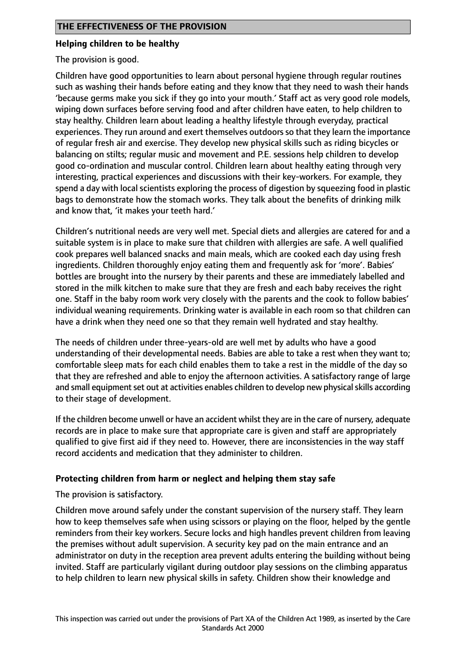#### **Helping children to be healthy**

The provision is good.

Children have good opportunities to learn about personal hygiene through regular routines such as washing their hands before eating and they know that they need to wash their hands 'because germs make you sick if they go into your mouth.' Staff act as very good role models, wiping down surfaces before serving food and after children have eaten, to help children to stay healthy. Children learn about leading a healthy lifestyle through everyday, practical experiences. They run around and exert themselves outdoors so that they learn the importance of regular fresh air and exercise. They develop new physical skills such as riding bicycles or balancing on stilts; regular music and movement and P.E. sessions help children to develop good co-ordination and muscular control. Children learn about healthy eating through very interesting, practical experiences and discussions with their key-workers. For example, they spend a day with local scientists exploring the process of digestion by squeezing food in plastic bags to demonstrate how the stomach works. They talk about the benefits of drinking milk and know that, 'it makes your teeth hard.'

Children's nutritional needs are very well met. Special diets and allergies are catered for and a suitable system is in place to make sure that children with allergies are safe. A well qualified cook prepares well balanced snacks and main meals, which are cooked each day using fresh ingredients. Children thoroughly enjoy eating them and frequently ask for 'more'. Babies' bottles are brought into the nursery by their parents and these are immediately labelled and stored in the milk kitchen to make sure that they are fresh and each baby receives the right one. Staff in the baby room work very closely with the parents and the cook to follow babies' individual weaning requirements. Drinking water is available in each room so that children can have a drink when they need one so that they remain well hydrated and stay healthy.

The needs of children under three-years-old are well met by adults who have a good understanding of their developmental needs. Babies are able to take a rest when they want to; comfortable sleep mats for each child enables them to take a rest in the middle of the day so that they are refreshed and able to enjoy the afternoon activities. A satisfactory range of large and small equipment set out at activities enables children to develop new physical skills according to their stage of development.

If the children become unwell or have an accident whilst they are in the care of nursery, adequate records are in place to make sure that appropriate care is given and staff are appropriately qualified to give first aid if they need to. However, there are inconsistencies in the way staff record accidents and medication that they administer to children.

## **Protecting children from harm or neglect and helping them stay safe**

The provision is satisfactory.

Children move around safely under the constant supervision of the nursery staff. They learn how to keep themselves safe when using scissors or playing on the floor, helped by the gentle reminders from their key workers. Secure locks and high handles prevent children from leaving the premises without adult supervision. A security key pad on the main entrance and an administrator on duty in the reception area prevent adults entering the building without being invited. Staff are particularly vigilant during outdoor play sessions on the climbing apparatus to help children to learn new physical skills in safety. Children show their knowledge and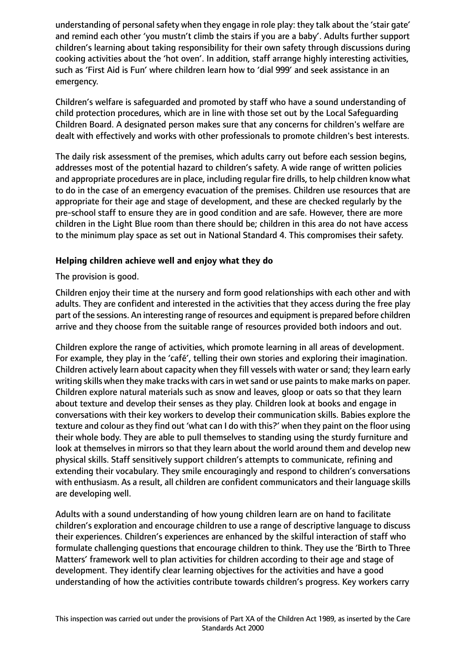understanding of personal safety when they engage in role play: they talk about the 'stair gate' and remind each other 'you mustn't climb the stairs if you are a baby'. Adults further support children's learning about taking responsibility for their own safety through discussions during cooking activities about the 'hot oven'. In addition, staff arrange highly interesting activities, such as 'First Aid is Fun' where children learn how to 'dial 999' and seek assistance in an emergency.

Children's welfare is safeguarded and promoted by staff who have a sound understanding of child protection procedures, which are in line with those set out by the Local Safeguarding Children Board. A designated person makes sure that any concerns for children's welfare are dealt with effectively and works with other professionals to promote children's best interests.

The daily risk assessment of the premises, which adults carry out before each session begins, addresses most of the potential hazard to children's safety. A wide range of written policies and appropriate procedures are in place, including regular fire drills, to help children know what to do in the case of an emergency evacuation of the premises. Children use resources that are appropriate for their age and stage of development, and these are checked regularly by the pre-school staff to ensure they are in good condition and are safe. However, there are more children in the Light Blue room than there should be; children in this area do not have access to the minimum play space as set out in National Standard 4. This compromises their safety.

## **Helping children achieve well and enjoy what they do**

The provision is good.

Children enjoy their time at the nursery and form good relationships with each other and with adults. They are confident and interested in the activities that they access during the free play part of the sessions. An interesting range of resources and equipment is prepared before children arrive and they choose from the suitable range of resources provided both indoors and out.

Children explore the range of activities, which promote learning in all areas of development. For example, they play in the 'café', telling their own stories and exploring their imagination. Children actively learn about capacity when they fill vessels with water or sand; they learn early writing skills when they make tracks with cars in wet sand or use paints to make marks on paper. Children explore natural materials such as snow and leaves, gloop or oats so that they learn about texture and develop their senses as they play. Children look at books and engage in conversations with their key workers to develop their communication skills. Babies explore the texture and colour as they find out 'what can I do with this?' when they paint on the floor using their whole body. They are able to pull themselves to standing using the sturdy furniture and look at themselves in mirrors so that they learn about the world around them and develop new physical skills. Staff sensitively support children's attempts to communicate, refining and extending their vocabulary. They smile encouragingly and respond to children's conversations with enthusiasm. As a result, all children are confident communicators and their language skills are developing well.

Adults with a sound understanding of how young children learn are on hand to facilitate children's exploration and encourage children to use a range of descriptive language to discuss their experiences. Children's experiences are enhanced by the skilful interaction of staff who formulate challenging questions that encourage children to think. They use the 'Birth to Three Matters' framework well to plan activities for children according to their age and stage of development. They identify clear learning objectives for the activities and have a good understanding of how the activities contribute towards children's progress. Key workers carry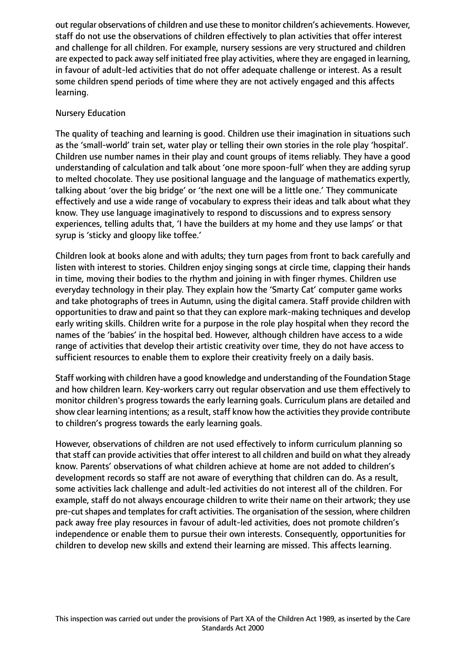out regular observations of children and use these to monitor children's achievements. However, staff do not use the observations of children effectively to plan activities that offer interest and challenge for all children. For example, nursery sessions are very structured and children are expected to pack away self initiated free play activities, where they are engaged in learning, in favour of adult-led activities that do not offer adequate challenge or interest. As a result some children spend periods of time where they are not actively engaged and this affects learning.

#### Nursery Education

The quality of teaching and learning is good. Children use their imagination in situations such as the 'small-world' train set, water play or telling their own stories in the role play 'hospital'. Children use number names in their play and count groups of items reliably. They have a good understanding of calculation and talk about 'one more spoon-full' when they are adding syrup to melted chocolate. They use positional language and the language of mathematics expertly, talking about 'over the big bridge' or 'the next one will be a little one.' They communicate effectively and use a wide range of vocabulary to express their ideas and talk about what they know. They use language imaginatively to respond to discussions and to express sensory experiences, telling adults that, 'I have the builders at my home and they use lamps' or that syrup is 'sticky and gloopy like toffee.'

Children look at books alone and with adults; they turn pages from front to back carefully and listen with interest to stories. Children enjoy singing songs at circle time, clapping their hands in time, moving their bodies to the rhythm and joining in with finger rhymes. Children use everyday technology in their play. They explain how the 'Smarty Cat' computer game works and take photographs of trees in Autumn, using the digital camera. Staff provide children with opportunities to draw and paint so that they can explore mark-making techniques and develop early writing skills. Children write for a purpose in the role play hospital when they record the names of the 'babies' in the hospital bed. However, although children have access to a wide range of activities that develop their artistic creativity over time, they do not have access to sufficient resources to enable them to explore their creativity freely on a daily basis.

Staff working with children have a good knowledge and understanding of the Foundation Stage and how children learn. Key-workers carry out regular observation and use them effectively to monitor children's progress towards the early learning goals. Curriculum plans are detailed and show clear learning intentions; as a result, staff know how the activities they provide contribute to children's progress towards the early learning goals.

However, observations of children are not used effectively to inform curriculum planning so that staff can provide activities that offer interest to all children and build on what they already know. Parents' observations of what children achieve at home are not added to children's development records so staff are not aware of everything that children can do. As a result, some activities lack challenge and adult-led activities do not interest all of the children. For example, staff do not always encourage children to write their name on their artwork; they use pre-cut shapes and templates for craft activities. The organisation of the session, where children pack away free play resources in favour of adult-led activities, does not promote children's independence or enable them to pursue their own interests. Consequently, opportunities for children to develop new skills and extend their learning are missed. This affects learning.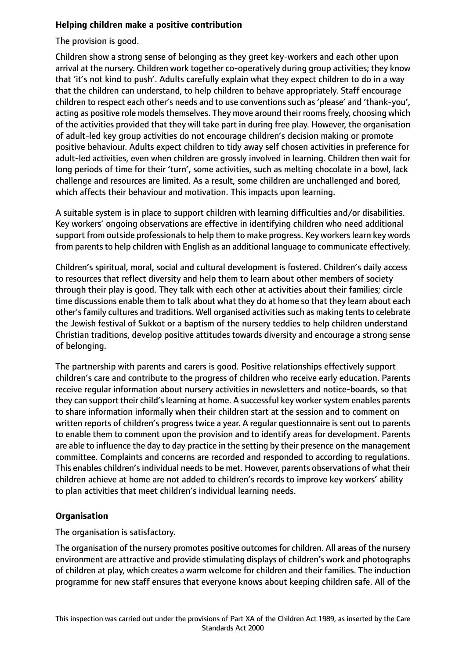## **Helping children make a positive contribution**

The provision is good.

Children show a strong sense of belonging as they greet key-workers and each other upon arrival at the nursery. Children work together co-operatively during group activities; they know that 'it's not kind to push'. Adults carefully explain what they expect children to do in a way that the children can understand, to help children to behave appropriately. Staff encourage children to respect each other's needs and to use conventions such as 'please' and 'thank-you', acting as positive role models themselves. They move around their rooms freely, choosing which of the activities provided that they will take part in during free play. However, the organisation of adult-led key group activities do not encourage children's decision making or promote positive behaviour. Adults expect children to tidy away self chosen activities in preference for adult-led activities, even when children are grossly involved in learning. Children then wait for long periods of time for their 'turn', some activities, such as melting chocolate in a bowl, lack challenge and resources are limited. As a result, some children are unchallenged and bored, which affects their behaviour and motivation. This impacts upon learning.

A suitable system is in place to support children with learning difficulties and/or disabilities. Key workers' ongoing observations are effective in identifying children who need additional support from outside professionals to help them to make progress. Key workers learn key words from parents to help children with English as an additional language to communicate effectively.

Children's spiritual, moral, social and cultural development is fostered. Children's daily access to resources that reflect diversity and help them to learn about other members of society through their play is good. They talk with each other at activities about their families; circle time discussions enable them to talk about what they do at home so that they learn about each other's family cultures and traditions. Well organised activities such as making tents to celebrate the Jewish festival of Sukkot or a baptism of the nursery teddies to help children understand Christian traditions, develop positive attitudes towards diversity and encourage a strong sense of belonging.

The partnership with parents and carers is good. Positive relationships effectively support children's care and contribute to the progress of children who receive early education. Parents receive regular information about nursery activities in newsletters and notice-boards, so that they can support their child's learning at home. A successful key worker system enables parents to share information informally when their children start at the session and to comment on written reports of children's progress twice a year. A regular questionnaire is sent out to parents to enable them to comment upon the provision and to identify areas for development. Parents are able to influence the day to day practice in the setting by their presence on the management committee. Complaints and concerns are recorded and responded to according to regulations. This enables children's individual needs to be met. However, parents observations of what their children achieve at home are not added to children's records to improve key workers' ability to plan activities that meet children's individual learning needs.

# **Organisation**

The organisation is satisfactory.

The organisation of the nursery promotes positive outcomes for children. All areas of the nursery environment are attractive and provide stimulating displays of children's work and photographs of children at play, which creates a warm welcome for children and their families. The induction programme for new staff ensures that everyone knows about keeping children safe. All of the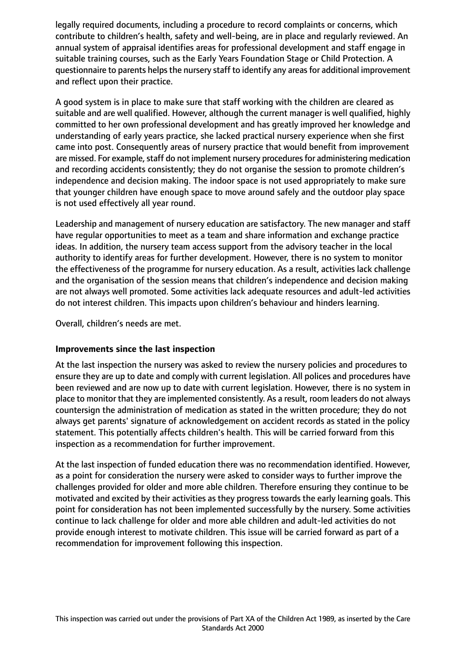legally required documents, including a procedure to record complaints or concerns, which contribute to children's health, safety and well-being, are in place and regularly reviewed. An annual system of appraisal identifies areas for professional development and staff engage in suitable training courses, such as the Early Years Foundation Stage or Child Protection. A questionnaire to parents helps the nursery staff to identify any areas for additional improvement and reflect upon their practice.

A good system is in place to make sure that staff working with the children are cleared as suitable and are well qualified. However, although the current manager is well qualified, highly committed to her own professional development and has greatly improved her knowledge and understanding of early years practice, she lacked practical nursery experience when she first came into post. Consequently areas of nursery practice that would benefit from improvement are missed. For example, staff do not implement nursery procedures for administering medication and recording accidents consistently; they do not organise the session to promote children's independence and decision making. The indoor space is not used appropriately to make sure that younger children have enough space to move around safely and the outdoor play space is not used effectively all year round.

Leadership and management of nursery education are satisfactory. The new manager and staff have regular opportunities to meet as a team and share information and exchange practice ideas. In addition, the nursery team access support from the advisory teacher in the local authority to identify areas for further development. However, there is no system to monitor the effectiveness of the programme for nursery education. As a result, activities lack challenge and the organisation of the session means that children's independence and decision making are not always well promoted. Some activities lack adequate resources and adult-led activities do not interest children. This impacts upon children's behaviour and hinders learning.

Overall, children's needs are met.

## **Improvements since the last inspection**

At the last inspection the nursery was asked to review the nursery policies and procedures to ensure they are up to date and comply with current legislation. All polices and procedures have been reviewed and are now up to date with current legislation. However, there is no system in place to monitor that they are implemented consistently. As a result, room leaders do not always countersign the administration of medication as stated in the written procedure; they do not always get parents' signature of acknowledgement on accident records as stated in the policy statement. This potentially affects children's health. This will be carried forward from this inspection as a recommendation for further improvement.

At the last inspection of funded education there was no recommendation identified. However, as a point for consideration the nursery were asked to consider ways to further improve the challenges provided for older and more able children. Therefore ensuring they continue to be motivated and excited by their activities as they progress towards the early learning goals. This point for consideration has not been implemented successfully by the nursery. Some activities continue to lack challenge for older and more able children and adult-led activities do not provide enough interest to motivate children. This issue will be carried forward as part of a recommendation for improvement following this inspection.